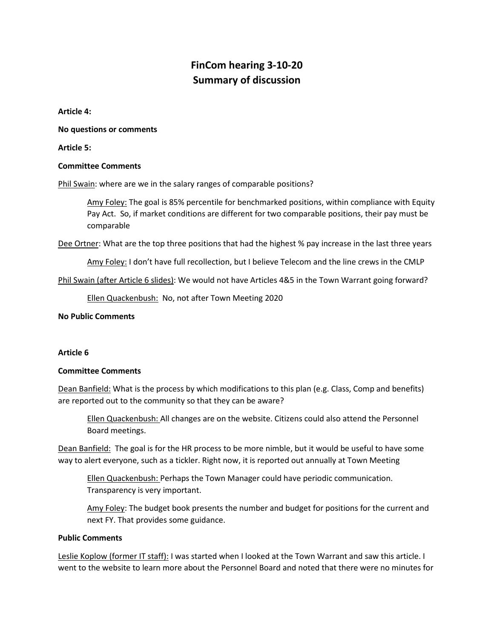# **FinCom hearing 3-10-20 Summary of discussion**

**Article 4:**

**No questions or comments**

**Article 5:** 

### **Committee Comments**

Phil Swain: where are we in the salary ranges of comparable positions?

Amy Foley: The goal is 85% percentile for benchmarked positions, within compliance with Equity Pay Act. So, if market conditions are different for two comparable positions, their pay must be comparable

Dee Ortner: What are the top three positions that had the highest % pay increase in the last three years

Amy Foley: I don't have full recollection, but I believe Telecom and the line crews in the CMLP

Phil Swain (after Article 6 slides): We would not have Articles 4&5 in the Town Warrant going forward?

Ellen Quackenbush: No, not after Town Meeting 2020

**No Public Comments**

#### **Article 6**

#### **Committee Comments**

Dean Banfield: What is the process by which modifications to this plan (e.g. Class, Comp and benefits) are reported out to the community so that they can be aware?

Ellen Quackenbush: All changes are on the website. Citizens could also attend the Personnel Board meetings.

Dean Banfield: The goal is for the HR process to be more nimble, but it would be useful to have some way to alert everyone, such as a tickler. Right now, it is reported out annually at Town Meeting

Ellen Quackenbush: Perhaps the Town Manager could have periodic communication. Transparency is very important.

Amy Foley: The budget book presents the number and budget for positions for the current and next FY. That provides some guidance.

#### **Public Comments**

Leslie Koplow (former IT staff): I was started when I looked at the Town Warrant and saw this article. I went to the website to learn more about the Personnel Board and noted that there were no minutes for